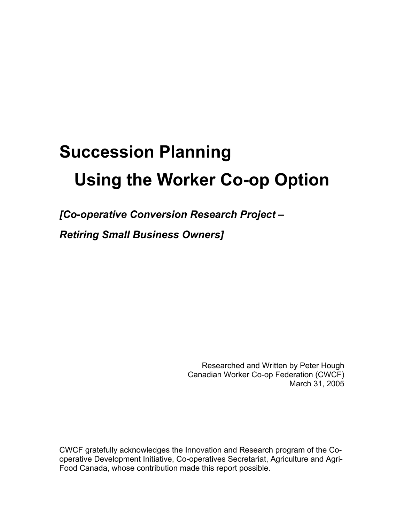# **Succession Planning Using the Worker Co-op Option**

*[Co-operative Conversion Research Project – Retiring Small Business Owners]*

> Researched and Written by Peter Hough Canadian Worker Co-op Federation (CWCF) March 31, 2005

CWCF gratefully acknowledges the Innovation and Research program of the Cooperative Development Initiative, Co-operatives Secretariat, Agriculture and Agri-Food Canada, whose contribution made this report possible.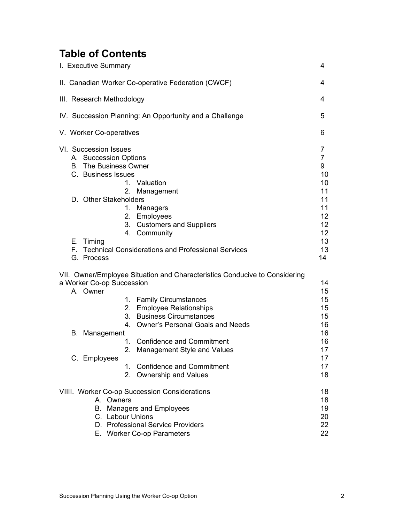# **Table of Contents**

| I. Executive Summary                                                                                                                                     |                                                                                                                                                                                                                                                                                                                                                                        | 4                                                                                          |
|----------------------------------------------------------------------------------------------------------------------------------------------------------|------------------------------------------------------------------------------------------------------------------------------------------------------------------------------------------------------------------------------------------------------------------------------------------------------------------------------------------------------------------------|--------------------------------------------------------------------------------------------|
| II. Canadian Worker Co-operative Federation (CWCF)                                                                                                       |                                                                                                                                                                                                                                                                                                                                                                        |                                                                                            |
| III. Research Methodology                                                                                                                                |                                                                                                                                                                                                                                                                                                                                                                        |                                                                                            |
|                                                                                                                                                          | IV. Succession Planning: An Opportunity and a Challenge                                                                                                                                                                                                                                                                                                                | 5                                                                                          |
| V. Worker Co-operatives                                                                                                                                  |                                                                                                                                                                                                                                                                                                                                                                        | 6                                                                                          |
| VI. Succession Issues<br>A. Succession Options<br><b>B.</b> The Business Owner<br>C. Business Issues<br>D. Other Stakeholders<br>E. Timing<br>G. Process | 1. Valuation<br>2. Management<br>1. Managers<br>2. Employees<br>3. Customers and Suppliers<br>4. Community<br>F. Technical Considerations and Professional Services                                                                                                                                                                                                    | 7<br>$\overline{7}$<br>9<br>10<br>10<br>11<br>11<br>11<br>12<br>12<br>12<br>13<br>13<br>14 |
| a Worker Co-op Succession<br>A. Owner<br>B. Management<br>C. Employees                                                                                   | VII. Owner/Employee Situation and Characteristics Conducive to Considering<br>1. Family Circumstances<br>2. Employee Relationships<br>3. Business Circumstances<br><b>Owner's Personal Goals and Needs</b><br>$4_{-}$<br><b>Confidence and Commitment</b><br>1.<br><b>Management Style and Values</b><br>2.<br>1. Confidence and Commitment<br>2. Ownership and Values | 14<br>15<br>15<br>15<br>15<br>16<br>16<br>16<br>17<br>17<br>17<br>18                       |
| A. Owners                                                                                                                                                | VIIII. Worker Co-op Succession Considerations<br><b>B.</b> Managers and Employees<br>C. Labour Unions<br>D. Professional Service Providers<br>E. Worker Co-op Parameters                                                                                                                                                                                               | 18<br>18<br>19<br>20<br>22<br>22                                                           |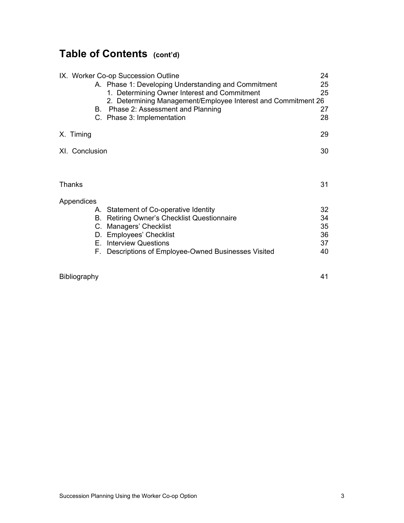# **Table of Contents (cont'd)**

|                     |    | IX. Worker Co-op Succession Outline                           | 24 |
|---------------------|----|---------------------------------------------------------------|----|
|                     |    | A. Phase 1: Developing Understanding and Commitment           | 25 |
|                     |    | 1. Determining Owner Interest and Commitment                  | 25 |
|                     |    | 2. Determining Management/Employee Interest and Commitment 26 |    |
|                     |    | B. Phase 2: Assessment and Planning                           | 27 |
|                     |    | C. Phase 3: Implementation                                    | 28 |
| X. Timing           |    |                                                               | 29 |
| XI. Conclusion      |    |                                                               | 30 |
|                     |    |                                                               |    |
|                     |    |                                                               |    |
| <b>Thanks</b>       |    |                                                               | 31 |
| Appendices          |    |                                                               |    |
|                     |    | A. Statement of Co-operative Identity                         | 32 |
|                     | B. | <b>Retiring Owner's Checklist Questionnaire</b>               | 34 |
|                     |    | C. Managers' Checklist                                        | 35 |
|                     |    | D. Employees' Checklist                                       | 36 |
|                     | F. | <b>Interview Questions</b>                                    | 37 |
|                     | F. | Descriptions of Employee-Owned Businesses Visited             | 40 |
|                     |    |                                                               |    |
| <b>Bibliography</b> |    |                                                               | 41 |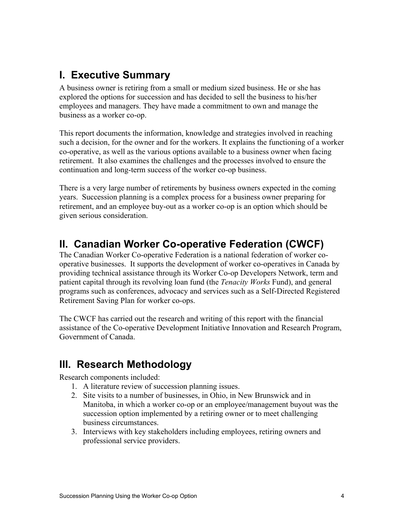# **I. Executive Summary**

A business owner is retiring from a small or medium sized business. He or she has explored the options for succession and has decided to sell the business to his/her employees and managers. They have made a commitment to own and manage the business as a worker co-op.

This report documents the information, knowledge and strategies involved in reaching such a decision, for the owner and for the workers. It explains the functioning of a worker co-operative, as well as the various options available to a business owner when facing retirement. It also examines the challenges and the processes involved to ensure the continuation and long-term success of the worker co-op business.

There is a very large number of retirements by business owners expected in the coming years. Succession planning is a complex process for a business owner preparing for retirement, and an employee buy-out as a worker co-op is an option which should be given serious consideration.

# **II. Canadian Worker Co-operative Federation (CWCF)**

The Canadian Worker Co-operative Federation is a national federation of worker cooperative businesses. It supports the development of worker co-operatives in Canada by providing technical assistance through its Worker Co-op Developers Network, term and patient capital through its revolving loan fund (the *Tenacity Works* Fund), and general programs such as conferences, advocacy and services such as a Self-Directed Registered Retirement Saving Plan for worker co-ops.

The CWCF has carried out the research and writing of this report with the financial assistance of the Co-operative Development Initiative Innovation and Research Program, Government of Canada.

# **III. Research Methodology**

Research components included:

- 1. A literature review of succession planning issues.
- 2. Site visits to a number of businesses, in Ohio, in New Brunswick and in Manitoba, in which a worker co-op or an employee/management buyout was the succession option implemented by a retiring owner or to meet challenging business circumstances.
- 3. Interviews with key stakeholders including employees, retiring owners and professional service providers.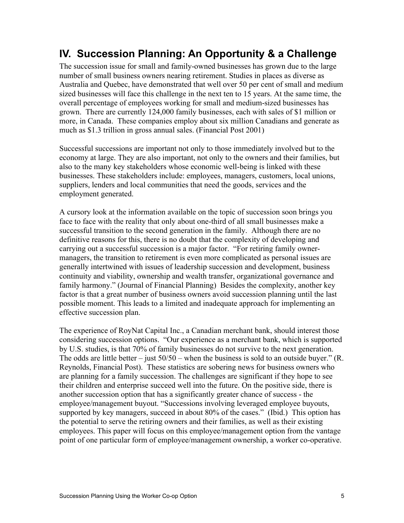# **IV. Succession Planning: An Opportunity & a Challenge**

The succession issue for small and family-owned businesses has grown due to the large number of small business owners nearing retirement. Studies in places as diverse as Australia and Quebec, have demonstrated that well over 50 per cent of small and medium sized businesses will face this challenge in the next ten to 15 years. At the same time, the overall percentage of employees working for small and medium-sized businesses has grown. There are currently 124,000 family businesses, each with sales of \$1 million or more, in Canada. These companies employ about six million Canadians and generate as much as \$1.3 trillion in gross annual sales. (Financial Post 2001)

Successful successions are important not only to those immediately involved but to the economy at large. They are also important, not only to the owners and their families, but also to the many key stakeholders whose economic well-being is linked with these businesses. These stakeholders include: employees, managers, customers, local unions, suppliers, lenders and local communities that need the goods, services and the employment generated.

A cursory look at the information available on the topic of succession soon brings you face to face with the reality that only about one-third of all small businesses make a successful transition to the second generation in the family. Although there are no definitive reasons for this, there is no doubt that the complexity of developing and carrying out a successful succession is a major factor. "For retiring family ownermanagers, the transition to retirement is even more complicated as personal issues are generally intertwined with issues of leadership succession and development, business continuity and viability, ownership and wealth transfer, organizational governance and family harmony." (Journal of Financial Planning) Besides the complexity, another key factor is that a great number of business owners avoid succession planning until the last possible moment. This leads to a limited and inadequate approach for implementing an effective succession plan.

The experience of RoyNat Capital Inc., a Canadian merchant bank, should interest those considering succession options. "Our experience as a merchant bank, which is supported by U.S. studies, is that 70% of family businesses do not survive to the next generation. The odds are little better – just  $50/50$  – when the business is sold to an outside buyer." (R. Reynolds, Financial Post). These statistics are sobering news for business owners who are planning for a family succession. The challenges are significant if they hope to see their children and enterprise succeed well into the future. On the positive side, there is another succession option that has a significantly greater chance of success - the employee/management buyout. "Successions involving leveraged employee buyouts, supported by key managers, succeed in about 80% of the cases." (Ibid.) This option has the potential to serve the retiring owners and their families, as well as their existing employees. This paper will focus on this employee/management option from the vantage point of one particular form of employee/management ownership, a worker co-operative.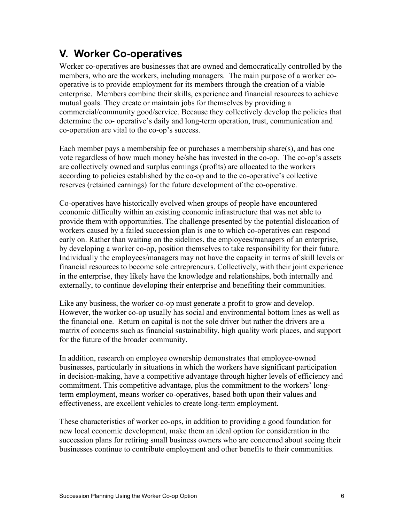# **V. Worker Co-operatives**

Worker co-operatives are businesses that are owned and democratically controlled by the members, who are the workers, including managers. The main purpose of a worker cooperative is to provide employment for its members through the creation of a viable enterprise. Members combine their skills, experience and financial resources to achieve mutual goals. They create or maintain jobs for themselves by providing a commercial/community good/service. Because they collectively develop the policies that determine the co- operative's daily and long-term operation, trust, communication and co-operation are vital to the co-op's success.

Each member pays a membership fee or purchases a membership share(s), and has one vote regardless of how much money he/she has invested in the co-op. The co-op's assets are collectively owned and surplus earnings (profits) are allocated to the workers according to policies established by the co-op and to the co-operative's collective reserves (retained earnings) for the future development of the co-operative.

Co-operatives have historically evolved when groups of people have encountered economic difficulty within an existing economic infrastructure that was not able to provide them with opportunities. The challenge presented by the potential dislocation of workers caused by a failed succession plan is one to which co-operatives can respond early on. Rather than waiting on the sidelines, the employees/managers of an enterprise, by developing a worker co-op, position themselves to take responsibility for their future. Individually the employees/managers may not have the capacity in terms of skill levels or financial resources to become sole entrepreneurs. Collectively, with their joint experience in the enterprise, they likely have the knowledge and relationships, both internally and externally, to continue developing their enterprise and benefiting their communities.

Like any business, the worker co-op must generate a profit to grow and develop. However, the worker co-op usually has social and environmental bottom lines as well as the financial one. Return on capital is not the sole driver but rather the drivers are a matrix of concerns such as financial sustainability, high quality work places, and support for the future of the broader community.

In addition, research on employee ownership demonstrates that employee-owned businesses, particularly in situations in which the workers have significant participation in decision-making, have a competitive advantage through higher levels of efficiency and commitment. This competitive advantage, plus the commitment to the workers' longterm employment, means worker co-operatives, based both upon their values and effectiveness, are excellent vehicles to create long-term employment.

These characteristics of worker co-ops, in addition to providing a good foundation for new local economic development, make them an ideal option for consideration in the succession plans for retiring small business owners who are concerned about seeing their businesses continue to contribute employment and other benefits to their communities.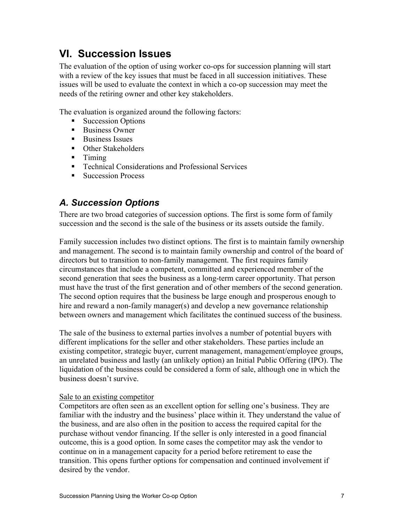# **VI. Succession Issues**

The evaluation of the option of using worker co-ops for succession planning will start with a review of the key issues that must be faced in all succession initiatives. These issues will be used to evaluate the context in which a co-op succession may meet the needs of the retiring owner and other key stakeholders.

The evaluation is organized around the following factors:

- Succession Options
- Business Owner
- **Business Issues**
- Other Stakeholders
- $\blacksquare$  Timing
- **Technical Considerations and Professional Services**
- Succession Process

### *A. Succession Options*

There are two broad categories of succession options. The first is some form of family succession and the second is the sale of the business or its assets outside the family.

Family succession includes two distinct options. The first is to maintain family ownership and management. The second is to maintain family ownership and control of the board of directors but to transition to non-family management. The first requires family circumstances that include a competent, committed and experienced member of the second generation that sees the business as a long-term career opportunity. That person must have the trust of the first generation and of other members of the second generation. The second option requires that the business be large enough and prosperous enough to hire and reward a non-family manager(s) and develop a new governance relationship between owners and management which facilitates the continued success of the business.

The sale of the business to external parties involves a number of potential buyers with different implications for the seller and other stakeholders. These parties include an existing competitor, strategic buyer, current management, management/employee groups, an unrelated business and lastly (an unlikely option) an Initial Public Offering (IPO). The liquidation of the business could be considered a form of sale, although one in which the business doesn't survive.

#### Sale to an existing competitor

Competitors are often seen as an excellent option for selling one's business. They are familiar with the industry and the business' place within it. They understand the value of the business, and are also often in the position to access the required capital for the purchase without vendor financing. If the seller is only interested in a good financial outcome, this is a good option. In some cases the competitor may ask the vendor to continue on in a management capacity for a period before retirement to ease the transition. This opens further options for compensation and continued involvement if desired by the vendor.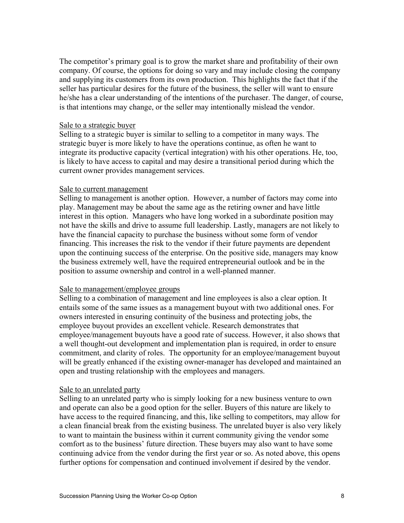The competitor's primary goal is to grow the market share and profitability of their own company. Of course, the options for doing so vary and may include closing the company and supplying its customers from its own production. This highlights the fact that if the seller has particular desires for the future of the business, the seller will want to ensure he/she has a clear understanding of the intentions of the purchaser. The danger, of course, is that intentions may change, or the seller may intentionally mislead the vendor.

#### Sale to a strategic buyer

Selling to a strategic buyer is similar to selling to a competitor in many ways. The strategic buyer is more likely to have the operations continue, as often he want to integrate its productive capacity (vertical integration) with his other operations. He, too, is likely to have access to capital and may desire a transitional period during which the current owner provides management services.

#### Sale to current management

Selling to management is another option. However, a number of factors may come into play. Management may be about the same age as the retiring owner and have little interest in this option. Managers who have long worked in a subordinate position may not have the skills and drive to assume full leadership. Lastly, managers are not likely to have the financial capacity to purchase the business without some form of vendor financing. This increases the risk to the vendor if their future payments are dependent upon the continuing success of the enterprise. On the positive side, managers may know the business extremely well, have the required entrepreneurial outlook and be in the position to assume ownership and control in a well-planned manner.

#### Sale to management/employee groups

Selling to a combination of management and line employees is also a clear option. It entails some of the same issues as a management buyout with two additional ones. For owners interested in ensuring continuity of the business and protecting jobs, the employee buyout provides an excellent vehicle. Research demonstrates that employee/management buyouts have a good rate of success. However, it also shows that a well thought-out development and implementation plan is required, in order to ensure commitment, and clarity of roles. The opportunity for an employee/management buyout will be greatly enhanced if the existing owner-manager has developed and maintained an open and trusting relationship with the employees and managers.

#### Sale to an unrelated party

Selling to an unrelated party who is simply looking for a new business venture to own and operate can also be a good option for the seller. Buyers of this nature are likely to have access to the required financing, and this, like selling to competitors, may allow for a clean financial break from the existing business. The unrelated buyer is also very likely to want to maintain the business within it current community giving the vendor some comfort as to the business' future direction. These buyers may also want to have some continuing advice from the vendor during the first year or so. As noted above, this opens further options for compensation and continued involvement if desired by the vendor.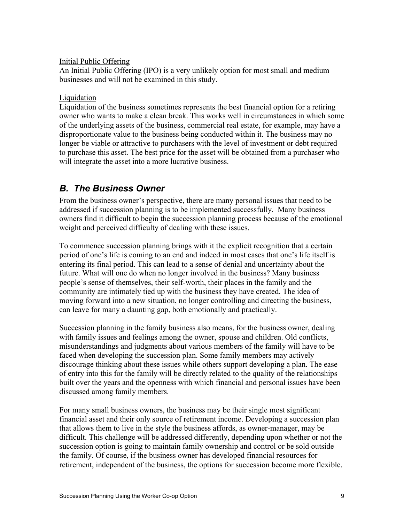#### Initial Public Offering

An Initial Public Offering (IPO) is a very unlikely option for most small and medium businesses and will not be examined in this study.

#### Liquidation

Liquidation of the business sometimes represents the best financial option for a retiring owner who wants to make a clean break. This works well in circumstances in which some of the underlying assets of the business, commercial real estate, for example, may have a disproportionate value to the business being conducted within it. The business may no longer be viable or attractive to purchasers with the level of investment or debt required to purchase this asset. The best price for the asset will be obtained from a purchaser who will integrate the asset into a more lucrative business.

### *B. The Business Owner*

From the business owner's perspective, there are many personal issues that need to be addressed if succession planning is to be implemented successfully. Many business owners find it difficult to begin the succession planning process because of the emotional weight and perceived difficulty of dealing with these issues.

To commence succession planning brings with it the explicit recognition that a certain period of one's life is coming to an end and indeed in most cases that one's life itself is entering its final period. This can lead to a sense of denial and uncertainty about the future. What will one do when no longer involved in the business? Many business people's sense of themselves, their self-worth, their places in the family and the community are intimately tied up with the business they have created. The idea of moving forward into a new situation, no longer controlling and directing the business, can leave for many a daunting gap, both emotionally and practically.

Succession planning in the family business also means, for the business owner, dealing with family issues and feelings among the owner, spouse and children. Old conflicts, misunderstandings and judgments about various members of the family will have to be faced when developing the succession plan. Some family members may actively discourage thinking about these issues while others support developing a plan. The ease of entry into this for the family will be directly related to the quality of the relationships built over the years and the openness with which financial and personal issues have been discussed among family members.

For many small business owners, the business may be their single most significant financial asset and their only source of retirement income. Developing a succession plan that allows them to live in the style the business affords, as owner-manager, may be difficult. This challenge will be addressed differently, depending upon whether or not the succession option is going to maintain family ownership and control or be sold outside the family. Of course, if the business owner has developed financial resources for retirement, independent of the business, the options for succession become more flexible.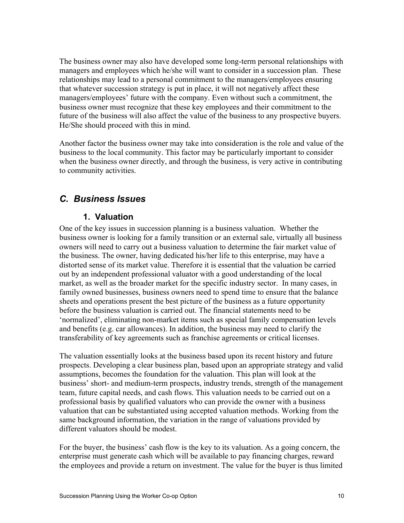The business owner may also have developed some long-term personal relationships with managers and employees which he/she will want to consider in a succession plan. These relationships may lead to a personal commitment to the managers/employees ensuring that whatever succession strategy is put in place, it will not negatively affect these managers/employees' future with the company. Even without such a commitment, the business owner must recognize that these key employees and their commitment to the future of the business will also affect the value of the business to any prospective buyers. He/She should proceed with this in mind.

Another factor the business owner may take into consideration is the role and value of the business to the local community. This factor may be particularly important to consider when the business owner directly, and through the business, is very active in contributing to community activities.

### *C. Business Issues*

#### **1. Valuation**

One of the key issues in succession planning is a business valuation. Whether the business owner is looking for a family transition or an external sale, virtually all business owners will need to carry out a business valuation to determine the fair market value of the business. The owner, having dedicated his/her life to this enterprise, may have a distorted sense of its market value. Therefore it is essential that the valuation be carried out by an independent professional valuator with a good understanding of the local market, as well as the broader market for the specific industry sector. In many cases, in family owned businesses, business owners need to spend time to ensure that the balance sheets and operations present the best picture of the business as a future opportunity before the business valuation is carried out. The financial statements need to be 'normalized', eliminating non-market items such as special family compensation levels and benefits (e.g. car allowances). In addition, the business may need to clarify the transferability of key agreements such as franchise agreements or critical licenses.

The valuation essentially looks at the business based upon its recent history and future prospects. Developing a clear business plan, based upon an appropriate strategy and valid assumptions, becomes the foundation for the valuation. This plan will look at the business' short- and medium-term prospects, industry trends, strength of the management team, future capital needs, and cash flows. This valuation needs to be carried out on a professional basis by qualified valuators who can provide the owner with a business valuation that can be substantiated using accepted valuation methods. Working from the same background information, the variation in the range of valuations provided by different valuators should be modest.

For the buyer, the business' cash flow is the key to its valuation. As a going concern, the enterprise must generate cash which will be available to pay financing charges, reward the employees and provide a return on investment. The value for the buyer is thus limited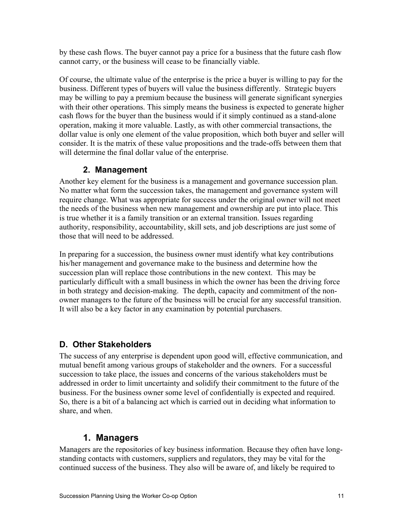by these cash flows. The buyer cannot pay a price for a business that the future cash flow cannot carry, or the business will cease to be financially viable.

Of course, the ultimate value of the enterprise is the price a buyer is willing to pay for the business. Different types of buyers will value the business differently. Strategic buyers may be willing to pay a premium because the business will generate significant synergies with their other operations. This simply means the business is expected to generate higher cash flows for the buyer than the business would if it simply continued as a stand-alone operation, making it more valuable. Lastly, as with other commercial transactions, the dollar value is only one element of the value proposition, which both buyer and seller will consider. It is the matrix of these value propositions and the trade-offs between them that will determine the final dollar value of the enterprise.

### **2. Management**

Another key element for the business is a management and governance succession plan. No matter what form the succession takes, the management and governance system will require change. What was appropriate for success under the original owner will not meet the needs of the business when new management and ownership are put into place. This is true whether it is a family transition or an external transition. Issues regarding authority, responsibility, accountability, skill sets, and job descriptions are just some of those that will need to be addressed.

In preparing for a succession, the business owner must identify what key contributions his/her management and governance make to the business and determine how the succession plan will replace those contributions in the new context. This may be particularly difficult with a small business in which the owner has been the driving force in both strategy and decision-making. The depth, capacity and commitment of the nonowner managers to the future of the business will be crucial for any successful transition. It will also be a key factor in any examination by potential purchasers.

### **D. Other Stakeholders**

The success of any enterprise is dependent upon good will, effective communication, and mutual benefit among various groups of stakeholder and the owners. For a successful succession to take place, the issues and concerns of the various stakeholders must be addressed in order to limit uncertainty and solidify their commitment to the future of the business. For the business owner some level of confidentially is expected and required. So, there is a bit of a balancing act which is carried out in deciding what information to share, and when.

### **1. Managers**

Managers are the repositories of key business information. Because they often have longstanding contacts with customers, suppliers and regulators, they may be vital for the continued success of the business. They also will be aware of, and likely be required to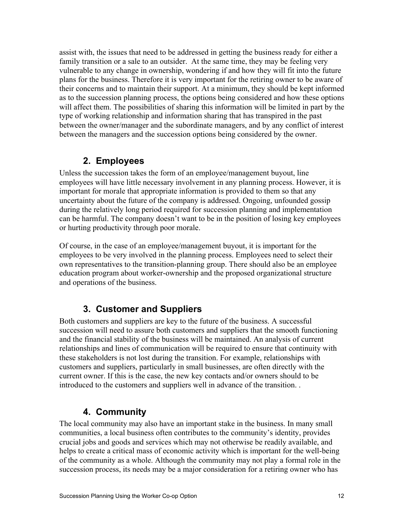assist with, the issues that need to be addressed in getting the business ready for either a family transition or a sale to an outsider. At the same time, they may be feeling very vulnerable to any change in ownership, wondering if and how they will fit into the future plans for the business. Therefore it is very important for the retiring owner to be aware of their concerns and to maintain their support. At a minimum, they should be kept informed as to the succession planning process, the options being considered and how these options will affect them. The possibilities of sharing this information will be limited in part by the type of working relationship and information sharing that has transpired in the past between the owner/manager and the subordinate managers, and by any conflict of interest between the managers and the succession options being considered by the owner.

### **2. Employees**

Unless the succession takes the form of an employee/management buyout, line employees will have little necessary involvement in any planning process. However, it is important for morale that appropriate information is provided to them so that any uncertainty about the future of the company is addressed. Ongoing, unfounded gossip during the relatively long period required for succession planning and implementation can be harmful. The company doesn't want to be in the position of losing key employees or hurting productivity through poor morale.

Of course, in the case of an employee/management buyout, it is important for the employees to be very involved in the planning process. Employees need to select their own representatives to the transition-planning group. There should also be an employee education program about worker-ownership and the proposed organizational structure and operations of the business.

# **3. Customer and Suppliers**

Both customers and suppliers are key to the future of the business. A successful succession will need to assure both customers and suppliers that the smooth functioning and the financial stability of the business will be maintained. An analysis of current relationships and lines of communication will be required to ensure that continuity with these stakeholders is not lost during the transition. For example, relationships with customers and suppliers, particularly in small businesses, are often directly with the current owner. If this is the case, the new key contacts and/or owners should to be introduced to the customers and suppliers well in advance of the transition. .

# **4. Community**

The local community may also have an important stake in the business. In many small communities, a local business often contributes to the community's identity, provides crucial jobs and goods and services which may not otherwise be readily available, and helps to create a critical mass of economic activity which is important for the well-being of the community as a whole. Although the community may not play a formal role in the succession process, its needs may be a major consideration for a retiring owner who has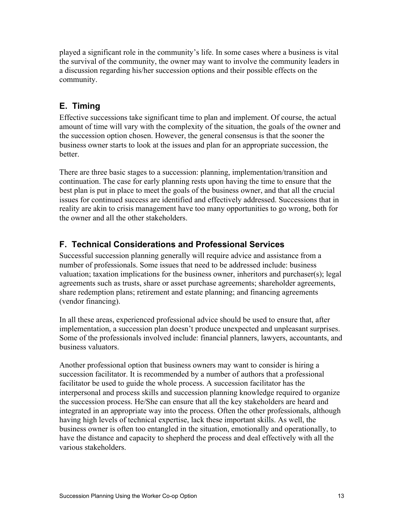played a significant role in the community's life. In some cases where a business is vital the survival of the community, the owner may want to involve the community leaders in a discussion regarding his/her succession options and their possible effects on the community.

# **E. Timing**

Effective successions take significant time to plan and implement. Of course, the actual amount of time will vary with the complexity of the situation, the goals of the owner and the succession option chosen. However, the general consensus is that the sooner the business owner starts to look at the issues and plan for an appropriate succession, the **better** 

There are three basic stages to a succession: planning, implementation/transition and continuation. The case for early planning rests upon having the time to ensure that the best plan is put in place to meet the goals of the business owner, and that all the crucial issues for continued success are identified and effectively addressed. Successions that in reality are akin to crisis management have too many opportunities to go wrong, both for the owner and all the other stakeholders.

### **F. Technical Considerations and Professional Services**

Successful succession planning generally will require advice and assistance from a number of professionals. Some issues that need to be addressed include: business valuation; taxation implications for the business owner, inheritors and purchaser(s); legal agreements such as trusts, share or asset purchase agreements; shareholder agreements, share redemption plans; retirement and estate planning; and financing agreements (vendor financing).

In all these areas, experienced professional advice should be used to ensure that, after implementation, a succession plan doesn't produce unexpected and unpleasant surprises. Some of the professionals involved include: financial planners, lawyers, accountants, and business valuators.

Another professional option that business owners may want to consider is hiring a succession facilitator. It is recommended by a number of authors that a professional facilitator be used to guide the whole process. A succession facilitator has the interpersonal and process skills and succession planning knowledge required to organize the succession process. He/She can ensure that all the key stakeholders are heard and integrated in an appropriate way into the process. Often the other professionals, although having high levels of technical expertise, lack these important skills. As well, the business owner is often too entangled in the situation, emotionally and operationally, to have the distance and capacity to shepherd the process and deal effectively with all the various stakeholders.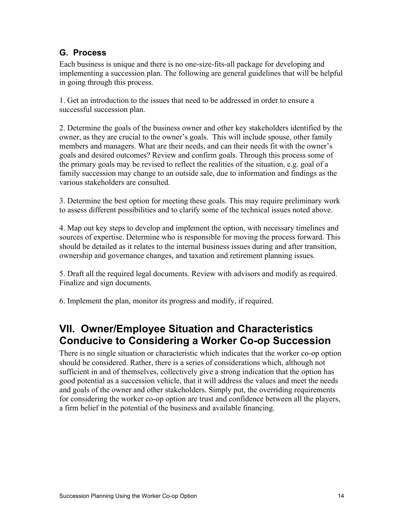### **G. Process**

Each business is unique and there is no one-size-fits-all package for developing and implementing a succession plan. The following are general guidelines that will be helpful in going through this process.

1. Get an introduction to the issues that need to be addressed in order to ensure a successful succession plan.

2. Determine the goals of the business owner and other key stakeholders identified by the owner, as they are crucial to the owner's goals. This will include spouse, other family members and managers. What are their needs, and can their needs fit with the owner's goals and desired outcomes? Review and confirm goals. Through this process some of the primary goals may be revised to reflect the realities of the situation, e.g. goal of a family succession may change to an outside sale, due to information and findings as the various stakeholders are consulted.

3. Determine the best option for meeting these goals. This may require preliminary work to assess different possibilities and to clarify some of the technical issues noted above.

4. Map out key steps to develop and implement the option, with necessary timelines and sources of expertise. Determine who is responsible for moving the process forward. This should be detailed as it relates to the internal business issues during and after transition, ownership and governance changes, and taxation and retirement planning issues.

5. Draft all the required legal documents. Review with advisors and modify as required. Finalize and sign documents.

6. Implement the plan, monitor its progress and modify, if required.

# **VII. Owner/Employee Situation and Characteristics Conducive to Considering a Worker Co-op Succession**

There is no single situation or characteristic which indicates that the worker co-op option should be considered. Rather, there is a series of considerations which, although not sufficient in and of themselves, collectively give a strong indication that the option has good potential as a succession vehicle, that it will address the values and meet the needs and goals of the owner and other stakeholders. Simply put, the overriding requirements for considering the worker co-op option are trust and confidence between all the players, a firm belief in the potential of the business and available financing.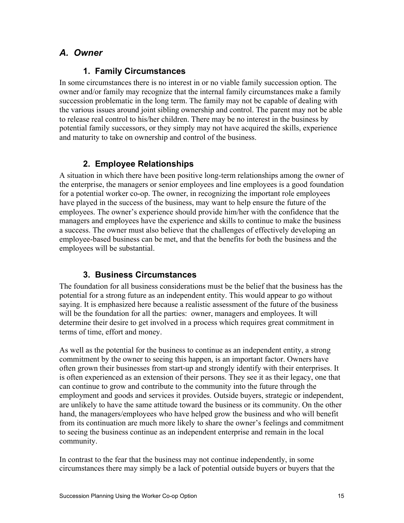### *A. Owner*

### **1. Family Circumstances**

In some circumstances there is no interest in or no viable family succession option. The owner and/or family may recognize that the internal family circumstances make a family succession problematic in the long term. The family may not be capable of dealing with the various issues around joint sibling ownership and control. The parent may not be able to release real control to his/her children. There may be no interest in the business by potential family successors, or they simply may not have acquired the skills, experience and maturity to take on ownership and control of the business.

### **2. Employee Relationships**

A situation in which there have been positive long-term relationships among the owner of the enterprise, the managers or senior employees and line employees is a good foundation for a potential worker co-op. The owner, in recognizing the important role employees have played in the success of the business, may want to help ensure the future of the employees. The owner's experience should provide him/her with the confidence that the managers and employees have the experience and skills to continue to make the business a success. The owner must also believe that the challenges of effectively developing an employee-based business can be met, and that the benefits for both the business and the employees will be substantial.

### **3. Business Circumstances**

The foundation for all business considerations must be the belief that the business has the potential for a strong future as an independent entity. This would appear to go without saying. It is emphasized here because a realistic assessment of the future of the business will be the foundation for all the parties: owner, managers and employees. It will determine their desire to get involved in a process which requires great commitment in terms of time, effort and money.

As well as the potential for the business to continue as an independent entity, a strong commitment by the owner to seeing this happen, is an important factor. Owners have often grown their businesses from start-up and strongly identify with their enterprises. It is often experienced as an extension of their persons. They see it as their legacy, one that can continue to grow and contribute to the community into the future through the employment and goods and services it provides. Outside buyers, strategic or independent, are unlikely to have the same attitude toward the business or its community. On the other hand, the managers/employees who have helped grow the business and who will benefit from its continuation are much more likely to share the owner's feelings and commitment to seeing the business continue as an independent enterprise and remain in the local community.

In contrast to the fear that the business may not continue independently, in some circumstances there may simply be a lack of potential outside buyers or buyers that the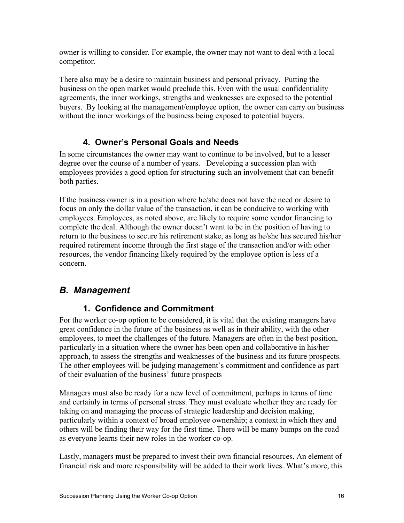owner is willing to consider. For example, the owner may not want to deal with a local competitor.

There also may be a desire to maintain business and personal privacy. Putting the business on the open market would preclude this. Even with the usual confidentiality agreements, the inner workings, strengths and weaknesses are exposed to the potential buyers. By looking at the management/employee option, the owner can carry on business without the inner workings of the business being exposed to potential buyers.

### **4. Owner's Personal Goals and Needs**

In some circumstances the owner may want to continue to be involved, but to a lesser degree over the course of a number of years. Developing a succession plan with employees provides a good option for structuring such an involvement that can benefit both parties.

If the business owner is in a position where he/she does not have the need or desire to focus on only the dollar value of the transaction, it can be conducive to working with employees. Employees, as noted above, are likely to require some vendor financing to complete the deal. Although the owner doesn't want to be in the position of having to return to the business to secure his retirement stake, as long as he/she has secured his/her required retirement income through the first stage of the transaction and/or with other resources, the vendor financing likely required by the employee option is less of a concern.

# *B. Management*

### **1. Confidence and Commitment**

For the worker co-op option to be considered, it is vital that the existing managers have great confidence in the future of the business as well as in their ability, with the other employees, to meet the challenges of the future. Managers are often in the best position, particularly in a situation where the owner has been open and collaborative in his/her approach, to assess the strengths and weaknesses of the business and its future prospects. The other employees will be judging management's commitment and confidence as part of their evaluation of the business' future prospects

Managers must also be ready for a new level of commitment, perhaps in terms of time and certainly in terms of personal stress. They must evaluate whether they are ready for taking on and managing the process of strategic leadership and decision making, particularly within a context of broad employee ownership; a context in which they and others will be finding their way for the first time. There will be many bumps on the road as everyone learns their new roles in the worker co-op.

Lastly, managers must be prepared to invest their own financial resources. An element of financial risk and more responsibility will be added to their work lives. What's more, this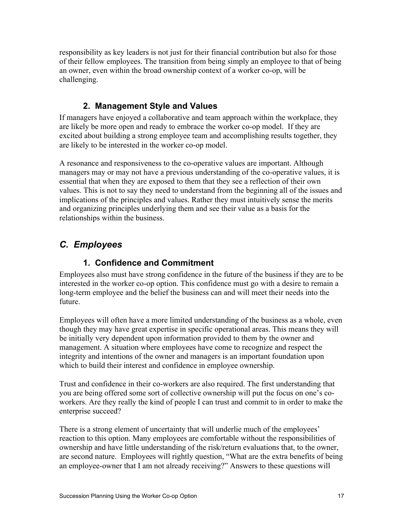responsibility as key leaders is not just for their financial contribution but also for those of their fellow employees. The transition from being simply an employee to that of being an owner, even within the broad ownership context of a worker co-op, will be challenging.

### **2. Management Style and Values**

If managers have enjoyed a collaborative and team approach within the workplace, they are likely be more open and ready to embrace the worker co-op model. If they are excited about building a strong employee team and accomplishing results together, they are likely to be interested in the worker co-op model.

A resonance and responsiveness to the co-operative values are important. Although managers may or may not have a previous understanding of the co-operative values, it is essential that when they are exposed to them that they see a reflection of their own values. This is not to say they need to understand from the beginning all of the issues and implications of the principles and values. Rather they must intuitively sense the merits and organizing principles underlying them and see their value as a basis for the relationships within the business.

# *C. Employees*

### **1. Confidence and Commitment**

Employees also must have strong confidence in the future of the business if they are to be interested in the worker co-op option. This confidence must go with a desire to remain a long-term employee and the belief the business can and will meet their needs into the future.

Employees will often have a more limited understanding of the business as a whole, even though they may have great expertise in specific operational areas. This means they will be initially very dependent upon information provided to them by the owner and management. A situation where employees have come to recognize and respect the integrity and intentions of the owner and managers is an important foundation upon which to build their interest and confidence in employee ownership.

Trust and confidence in their co-workers are also required. The first understanding that you are being offered some sort of collective ownership will put the focus on one's coworkers. Are they really the kind of people I can trust and commit to in order to make the enterprise succeed?

There is a strong element of uncertainty that will underlie much of the employees' reaction to this option. Many employees are comfortable without the responsibilities of ownership and have little understanding of the risk/return evaluations that, to the owner, are second nature. Employees will rightly question, "What are the extra benefits of being an employee-owner that I am not already receiving?" Answers to these questions will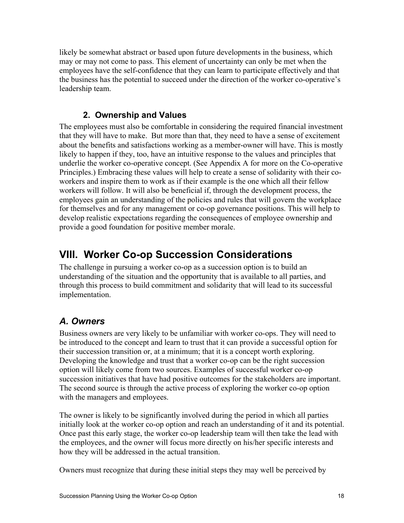likely be somewhat abstract or based upon future developments in the business, which may or may not come to pass. This element of uncertainty can only be met when the employees have the self-confidence that they can learn to participate effectively and that the business has the potential to succeed under the direction of the worker co-operative's leadership team.

### **2. Ownership and Values**

The employees must also be comfortable in considering the required financial investment that they will have to make. But more than that, they need to have a sense of excitement about the benefits and satisfactions working as a member-owner will have. This is mostly likely to happen if they, too, have an intuitive response to the values and principles that underlie the worker co-operative concept. (See Appendix A for more on the Co-operative Principles.) Embracing these values will help to create a sense of solidarity with their coworkers and inspire them to work as if their example is the one which all their fellow workers will follow. It will also be beneficial if, through the development process, the employees gain an understanding of the policies and rules that will govern the workplace for themselves and for any management or co-op governance positions. This will help to develop realistic expectations regarding the consequences of employee ownership and provide a good foundation for positive member morale.

# **VIII. Worker Co-op Succession Considerations**

The challenge in pursuing a worker co-op as a succession option is to build an understanding of the situation and the opportunity that is available to all parties, and through this process to build commitment and solidarity that will lead to its successful implementation.

# *A. Owners*

Business owners are very likely to be unfamiliar with worker co-ops. They will need to be introduced to the concept and learn to trust that it can provide a successful option for their succession transition or, at a minimum; that it is a concept worth exploring. Developing the knowledge and trust that a worker co-op can be the right succession option will likely come from two sources. Examples of successful worker co-op succession initiatives that have had positive outcomes for the stakeholders are important. The second source is through the active process of exploring the worker co-op option with the managers and employees.

The owner is likely to be significantly involved during the period in which all parties initially look at the worker co-op option and reach an understanding of it and its potential. Once past this early stage, the worker co-op leadership team will then take the lead with the employees, and the owner will focus more directly on his/her specific interests and how they will be addressed in the actual transition.

Owners must recognize that during these initial steps they may well be perceived by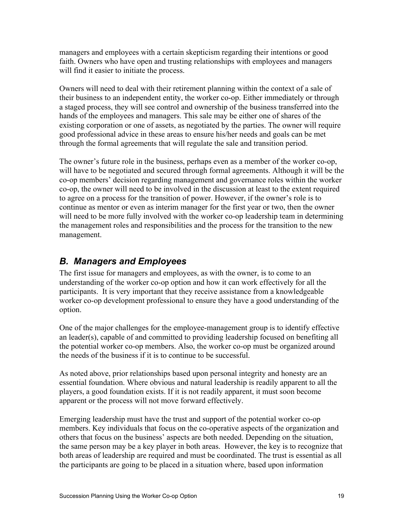managers and employees with a certain skepticism regarding their intentions or good faith. Owners who have open and trusting relationships with employees and managers will find it easier to initiate the process.

Owners will need to deal with their retirement planning within the context of a sale of their business to an independent entity, the worker co-op. Either immediately or through a staged process, they will see control and ownership of the business transferred into the hands of the employees and managers. This sale may be either one of shares of the existing corporation or one of assets, as negotiated by the parties. The owner will require good professional advice in these areas to ensure his/her needs and goals can be met through the formal agreements that will regulate the sale and transition period.

The owner's future role in the business, perhaps even as a member of the worker co-op, will have to be negotiated and secured through formal agreements. Although it will be the co-op members' decision regarding management and governance roles within the worker co-op, the owner will need to be involved in the discussion at least to the extent required to agree on a process for the transition of power. However, if the owner's role is to continue as mentor or even as interim manager for the first year or two, then the owner will need to be more fully involved with the worker co-op leadership team in determining the management roles and responsibilities and the process for the transition to the new management.

# *B. Managers and Employees*

The first issue for managers and employees, as with the owner, is to come to an understanding of the worker co-op option and how it can work effectively for all the participants. It is very important that they receive assistance from a knowledgeable worker co-op development professional to ensure they have a good understanding of the option.

One of the major challenges for the employee-management group is to identify effective an leader(s), capable of and committed to providing leadership focused on benefiting all the potential worker co-op members. Also, the worker co-op must be organized around the needs of the business if it is to continue to be successful.

As noted above, prior relationships based upon personal integrity and honesty are an essential foundation. Where obvious and natural leadership is readily apparent to all the players, a good foundation exists. If it is not readily apparent, it must soon become apparent or the process will not move forward effectively.

Emerging leadership must have the trust and support of the potential worker co-op members. Key individuals that focus on the co-operative aspects of the organization and others that focus on the business' aspects are both needed. Depending on the situation, the same person may be a key player in both areas. However, the key is to recognize that both areas of leadership are required and must be coordinated. The trust is essential as all the participants are going to be placed in a situation where, based upon information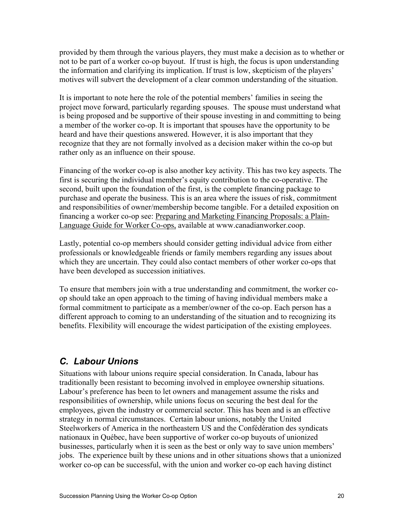provided by them through the various players, they must make a decision as to whether or not to be part of a worker co-op buyout. If trust is high, the focus is upon understanding the information and clarifying its implication. If trust is low, skepticism of the players' motives will subvert the development of a clear common understanding of the situation.

It is important to note here the role of the potential members' families in seeing the project move forward, particularly regarding spouses. The spouse must understand what is being proposed and be supportive of their spouse investing in and committing to being a member of the worker co-op. It is important that spouses have the opportunity to be heard and have their questions answered. However, it is also important that they recognize that they are not formally involved as a decision maker within the co-op but rather only as an influence on their spouse.

Financing of the worker co-op is also another key activity. This has two key aspects. The first is securing the individual member's equity contribution to the co-operative. The second, built upon the foundation of the first, is the complete financing package to purchase and operate the business. This is an area where the issues of risk, commitment and responsibilities of owner/membership become tangible. For a detailed exposition on financing a worker co-op see: Preparing and Marketing Financing Proposals: a Plain-Language Guide for Worker Co-ops, available at www.canadianworker.coop.

Lastly, potential co-op members should consider getting individual advice from either professionals or knowledgeable friends or family members regarding any issues about which they are uncertain. They could also contact members of other worker co-ops that have been developed as succession initiatives.

To ensure that members join with a true understanding and commitment, the worker coop should take an open approach to the timing of having individual members make a formal commitment to participate as a member/owner of the co-op. Each person has a different approach to coming to an understanding of the situation and to recognizing its benefits. Flexibility will encourage the widest participation of the existing employees.

# *C. Labour Unions*

Situations with labour unions require special consideration. In Canada, labour has traditionally been resistant to becoming involved in employee ownership situations. Labour's preference has been to let owners and management assume the risks and responsibilities of ownership, while unions focus on securing the best deal for the employees, given the industry or commercial sector. This has been and is an effective strategy in normal circumstances. Certain labour unions, notably the United Steelworkers of America in the northeastern US and the Confédération des syndicats nationaux in Québec, have been supportive of worker co-op buyouts of unionized businesses, particularly when it is seen as the best or only way to save union members' jobs. The experience built by these unions and in other situations shows that a unionized worker co-op can be successful, with the union and worker co-op each having distinct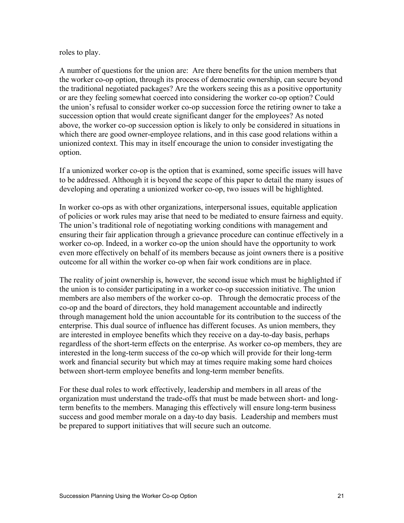#### roles to play.

A number of questions for the union are: Are there benefits for the union members that the worker co-op option, through its process of democratic ownership, can secure beyond the traditional negotiated packages? Are the workers seeing this as a positive opportunity or are they feeling somewhat coerced into considering the worker co-op option? Could the union's refusal to consider worker co-op succession force the retiring owner to take a succession option that would create significant danger for the employees? As noted above, the worker co-op succession option is likely to only be considered in situations in which there are good owner-employee relations, and in this case good relations within a unionized context. This may in itself encourage the union to consider investigating the option.

If a unionized worker co-op is the option that is examined, some specific issues will have to be addressed. Although it is beyond the scope of this paper to detail the many issues of developing and operating a unionized worker co-op, two issues will be highlighted.

In worker co-ops as with other organizations, interpersonal issues, equitable application of policies or work rules may arise that need to be mediated to ensure fairness and equity. The union's traditional role of negotiating working conditions with management and ensuring their fair application through a grievance procedure can continue effectively in a worker co-op. Indeed, in a worker co-op the union should have the opportunity to work even more effectively on behalf of its members because as joint owners there is a positive outcome for all within the worker co-op when fair work conditions are in place.

The reality of joint ownership is, however, the second issue which must be highlighted if the union is to consider participating in a worker co-op succession initiative. The union members are also members of the worker co-op. Through the democratic process of the co-op and the board of directors, they hold management accountable and indirectly through management hold the union accountable for its contribution to the success of the enterprise. This dual source of influence has different focuses. As union members, they are interested in employee benefits which they receive on a day-to-day basis, perhaps regardless of the short-term effects on the enterprise. As worker co-op members, they are interested in the long-term success of the co-op which will provide for their long-term work and financial security but which may at times require making some hard choices between short-term employee benefits and long-term member benefits.

For these dual roles to work effectively, leadership and members in all areas of the organization must understand the trade-offs that must be made between short- and longterm benefits to the members. Managing this effectively will ensure long-term business success and good member morale on a day-to day basis. Leadership and members must be prepared to support initiatives that will secure such an outcome.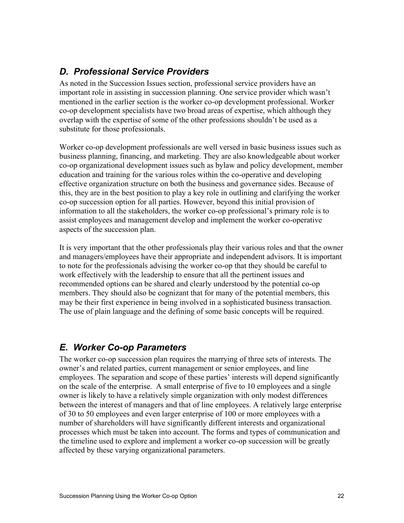# *D. Professional Service Providers*

As noted in the Succession Issues section, professional service providers have an important role in assisting in succession planning. One service provider which wasn't mentioned in the earlier section is the worker co-op development professional. Worker co-op development specialists have two broad areas of expertise, which although they overlap with the expertise of some of the other professions shouldn't be used as a substitute for those professionals.

Worker co-op development professionals are well versed in basic business issues such as business planning, financing, and marketing. They are also knowledgeable about worker co-op organizational development issues such as bylaw and policy development, member education and training for the various roles within the co-operative and developing effective organization structure on both the business and governance sides. Because of this, they are in the best position to play a key role in outlining and clarifying the worker co-op succession option for all parties. However, beyond this initial provision of information to all the stakeholders, the worker co-op professional's primary role is to assist employees and management develop and implement the worker co-operative aspects of the succession plan.

It is very important that the other professionals play their various roles and that the owner and managers/employees have their appropriate and independent advisors. It is important to note for the professionals advising the worker co-op that they should be careful to work effectively with the leadership to ensure that all the pertinent issues and recommended options can be shared and clearly understood by the potential co-op members. They should also be cognizant that for many of the potential members, this may be their first experience in being involved in a sophisticated business transaction. The use of plain language and the defining of some basic concepts will be required.

# *E. Worker Co-op Parameters*

The worker co-op succession plan requires the marrying of three sets of interests. The owner's and related parties, current management or senior employees, and line employees. The separation and scope of these parties' interests will depend significantly on the scale of the enterprise. A small enterprise of five to 10 employees and a single owner is likely to have a relatively simple organization with only modest differences between the interest of managers and that of line employees. A relatively large enterprise of 30 to 50 employees and even larger enterprise of 100 or more employees with a number of shareholders will have significantly different interests and organizational processes which must be taken into account. The forms and types of communication and the timeline used to explore and implement a worker co-op succession will be greatly affected by these varying organizational parameters.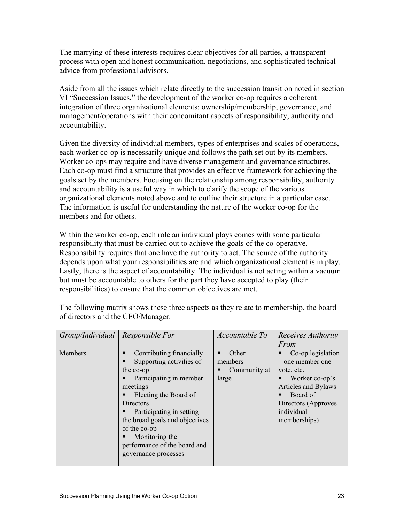The marrying of these interests requires clear objectives for all parties, a transparent process with open and honest communication, negotiations, and sophisticated technical advice from professional advisors.

Aside from all the issues which relate directly to the succession transition noted in section VI "Succession Issues," the development of the worker co-op requires a coherent integration of three organizational elements: ownership/membership, governance, and management/operations with their concomitant aspects of responsibility, authority and accountability.

Given the diversity of individual members, types of enterprises and scales of operations, each worker co-op is necessarily unique and follows the path set out by its members. Worker co-ops may require and have diverse management and governance structures. Each co-op must find a structure that provides an effective framework for achieving the goals set by the members. Focusing on the relationship among responsibility, authority and accountability is a useful way in which to clarify the scope of the various organizational elements noted above and to outline their structure in a particular case. The information is useful for understanding the nature of the worker co-op for the members and for others.

Within the worker co-op, each role an individual plays comes with some particular responsibility that must be carried out to achieve the goals of the co-operative. Responsibility requires that one have the authority to act. The source of the authority depends upon what your responsibilities are and which organizational element is in play. Lastly, there is the aspect of accountability. The individual is not acting within a vacuum but must be accountable to others for the part they have accepted to play (their responsibilities) to ensure that the common objectives are met.

| Group/Individual | Responsible For                                                                                                                                                                                                                                                                                                    | Accountable To                            | Receives Authority                                                                                                                                                      |
|------------------|--------------------------------------------------------------------------------------------------------------------------------------------------------------------------------------------------------------------------------------------------------------------------------------------------------------------|-------------------------------------------|-------------------------------------------------------------------------------------------------------------------------------------------------------------------------|
|                  |                                                                                                                                                                                                                                                                                                                    |                                           | From                                                                                                                                                                    |
| Members          | Contributing financially<br>■<br>Supporting activities of<br>the co-op<br>Participating in member<br>meetings<br>Electing the Board of<br><b>Directors</b><br>Participating in setting<br>the broad goals and objectives<br>of the co-op<br>Monitoring the<br>performance of the board and<br>governance processes | Other<br>members<br>Community at<br>large | Co-op legislation<br>■<br>- one member one<br>vote, etc.<br>Worker co-op's<br>Articles and Bylaws<br>Board of<br>▪<br>Directors (Approves<br>individual<br>memberships) |

The following matrix shows these three aspects as they relate to membership, the board of directors and the CEO/Manager.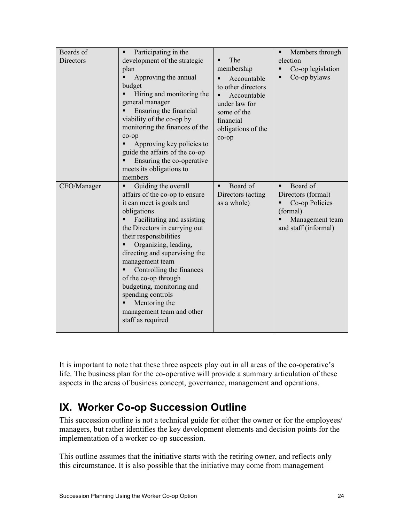| Boards of<br>Directors | Participating in the<br>development of the strategic<br>plan<br>Approving the annual<br>budget<br>Hiring and monitoring the<br>general manager<br>Ensuring the financial<br>viability of the co-op by<br>monitoring the finances of the<br>$co$ -op<br>Approving key policies to<br>guide the affairs of the co-op<br>Ensuring the co-operative<br>meets its obligations to<br>members                                                              | The<br>membership<br>Accountable<br>to other directors<br>Accountable<br>under law for<br>some of the<br>financial<br>obligations of the<br>$co$ - $op$ | Members through<br>٠<br>election<br>Co-op legislation<br>п<br>Co-op bylaws                                   |
|------------------------|-----------------------------------------------------------------------------------------------------------------------------------------------------------------------------------------------------------------------------------------------------------------------------------------------------------------------------------------------------------------------------------------------------------------------------------------------------|---------------------------------------------------------------------------------------------------------------------------------------------------------|--------------------------------------------------------------------------------------------------------------|
| CEO/Manager            | Guiding the overall<br>п<br>affairs of the co-op to ensure<br>it can meet is goals and<br>obligations<br>Facilitating and assisting<br>the Directors in carrying out<br>their responsibilities<br>Organizing, leading,<br>directing and supervising the<br>management team<br>Controlling the finances<br>of the co-op through<br>budgeting, monitoring and<br>spending controls<br>Mentoring the<br>management team and other<br>staff as required | Board of<br>٠<br>Directors (acting<br>as a whole)                                                                                                       | Board of<br>٠<br>Directors (formal)<br>Co-op Policies<br>(formal)<br>Management team<br>and staff (informal) |

It is important to note that these three aspects play out in all areas of the co-operative's life. The business plan for the co-operative will provide a summary articulation of these aspects in the areas of business concept, governance, management and operations.

# **IX. Worker Co-op Succession Outline**

This succession outline is not a technical guide for either the owner or for the employees/ managers, but rather identifies the key development elements and decision points for the implementation of a worker co-op succession.

This outline assumes that the initiative starts with the retiring owner, and reflects only this circumstance. It is also possible that the initiative may come from management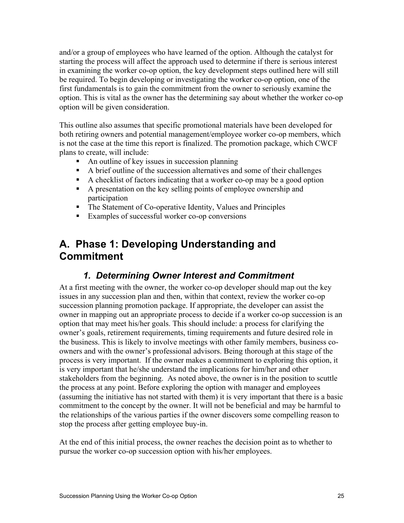and/or a group of employees who have learned of the option. Although the catalyst for starting the process will affect the approach used to determine if there is serious interest in examining the worker co-op option, the key development steps outlined here will still be required. To begin developing or investigating the worker co-op option, one of the first fundamentals is to gain the commitment from the owner to seriously examine the option. This is vital as the owner has the determining say about whether the worker co-op option will be given consideration.

This outline also assumes that specific promotional materials have been developed for both retiring owners and potential management/employee worker co-op members, which is not the case at the time this report is finalized. The promotion package, which CWCF plans to create, will include:

- An outline of key issues in succession planning
- A brief outline of the succession alternatives and some of their challenges
- A checklist of factors indicating that a worker co-op may be a good option
- A presentation on the key selling points of employee ownership and participation
- The Statement of Co-operative Identity, Values and Principles
- Examples of successful worker co-op conversions

# **A. Phase 1: Developing Understanding and Commitment**

### *1. Determining Owner Interest and Commitment*

At a first meeting with the owner, the worker co-op developer should map out the key issues in any succession plan and then, within that context, review the worker co-op succession planning promotion package. If appropriate, the developer can assist the owner in mapping out an appropriate process to decide if a worker co-op succession is an option that may meet his/her goals. This should include: a process for clarifying the owner's goals, retirement requirements, timing requirements and future desired role in the business. This is likely to involve meetings with other family members, business coowners and with the owner's professional advisors. Being thorough at this stage of the process is very important. If the owner makes a commitment to exploring this option, it is very important that he/she understand the implications for him/her and other stakeholders from the beginning. As noted above, the owner is in the position to scuttle the process at any point. Before exploring the option with manager and employees (assuming the initiative has not started with them) it is very important that there is a basic commitment to the concept by the owner. It will not be beneficial and may be harmful to the relationships of the various parties if the owner discovers some compelling reason to stop the process after getting employee buy-in.

At the end of this initial process, the owner reaches the decision point as to whether to pursue the worker co-op succession option with his/her employees.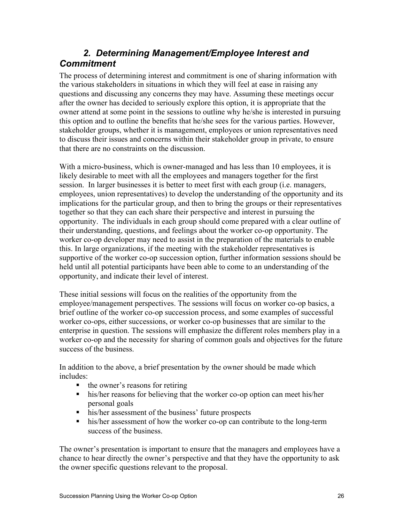# *2. Determining Management/Employee Interest and Commitment*

The process of determining interest and commitment is one of sharing information with the various stakeholders in situations in which they will feel at ease in raising any questions and discussing any concerns they may have. Assuming these meetings occur after the owner has decided to seriously explore this option, it is appropriate that the owner attend at some point in the sessions to outline why he/she is interested in pursuing this option and to outline the benefits that he/she sees for the various parties. However, stakeholder groups, whether it is management, employees or union representatives need to discuss their issues and concerns within their stakeholder group in private, to ensure that there are no constraints on the discussion.

With a micro-business, which is owner-managed and has less than 10 employees, it is likely desirable to meet with all the employees and managers together for the first session. In larger businesses it is better to meet first with each group (i.e. managers, employees, union representatives) to develop the understanding of the opportunity and its implications for the particular group, and then to bring the groups or their representatives together so that they can each share their perspective and interest in pursuing the opportunity. The individuals in each group should come prepared with a clear outline of their understanding, questions, and feelings about the worker co-op opportunity. The worker co-op developer may need to assist in the preparation of the materials to enable this. In large organizations, if the meeting with the stakeholder representatives is supportive of the worker co-op succession option, further information sessions should be held until all potential participants have been able to come to an understanding of the opportunity, and indicate their level of interest.

These initial sessions will focus on the realities of the opportunity from the employee/management perspectives. The sessions will focus on worker co-op basics, a brief outline of the worker co-op succession process, and some examples of successful worker co-ops, either successions, or worker co-op businesses that are similar to the enterprise in question. The sessions will emphasize the different roles members play in a worker co-op and the necessity for sharing of common goals and objectives for the future success of the business.

In addition to the above, a brief presentation by the owner should be made which includes:

- $\blacksquare$  the owner's reasons for retiring
- his/her reasons for believing that the worker co-op option can meet his/her personal goals
- his/her assessment of the business' future prospects
- his/her assessment of how the worker co-op can contribute to the long-term success of the business.

The owner's presentation is important to ensure that the managers and employees have a chance to hear directly the owner's perspective and that they have the opportunity to ask the owner specific questions relevant to the proposal.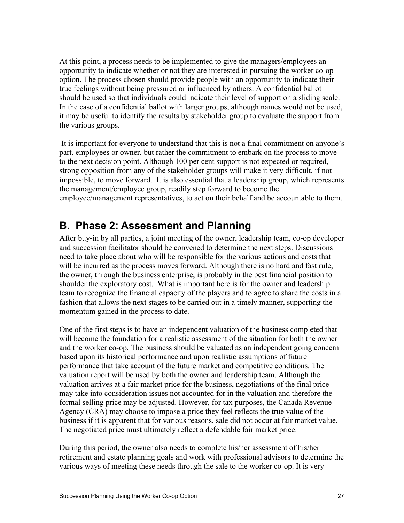At this point, a process needs to be implemented to give the managers/employees an opportunity to indicate whether or not they are interested in pursuing the worker co-op option. The process chosen should provide people with an opportunity to indicate their true feelings without being pressured or influenced by others. A confidential ballot should be used so that individuals could indicate their level of support on a sliding scale. In the case of a confidential ballot with larger groups, although names would not be used, it may be useful to identify the results by stakeholder group to evaluate the support from the various groups.

 It is important for everyone to understand that this is not a final commitment on anyone's part, employees or owner, but rather the commitment to embark on the process to move to the next decision point. Although 100 per cent support is not expected or required, strong opposition from any of the stakeholder groups will make it very difficult, if not impossible, to move forward. It is also essential that a leadership group, which represents the management/employee group, readily step forward to become the employee/management representatives, to act on their behalf and be accountable to them.

# **B. Phase 2: Assessment and Planning**

After buy-in by all parties, a joint meeting of the owner, leadership team, co-op developer and succession facilitator should be convened to determine the next steps. Discussions need to take place about who will be responsible for the various actions and costs that will be incurred as the process moves forward. Although there is no hard and fast rule, the owner, through the business enterprise, is probably in the best financial position to shoulder the exploratory cost. What is important here is for the owner and leadership team to recognize the financial capacity of the players and to agree to share the costs in a fashion that allows the next stages to be carried out in a timely manner, supporting the momentum gained in the process to date.

One of the first steps is to have an independent valuation of the business completed that will become the foundation for a realistic assessment of the situation for both the owner and the worker co-op. The business should be valuated as an independent going concern based upon its historical performance and upon realistic assumptions of future performance that take account of the future market and competitive conditions. The valuation report will be used by both the owner and leadership team. Although the valuation arrives at a fair market price for the business, negotiations of the final price may take into consideration issues not accounted for in the valuation and therefore the formal selling price may be adjusted. However, for tax purposes, the Canada Revenue Agency (CRA) may choose to impose a price they feel reflects the true value of the business if it is apparent that for various reasons, sale did not occur at fair market value. The negotiated price must ultimately reflect a defendable fair market price.

During this period, the owner also needs to complete his/her assessment of his/her retirement and estate planning goals and work with professional advisors to determine the various ways of meeting these needs through the sale to the worker co-op. It is very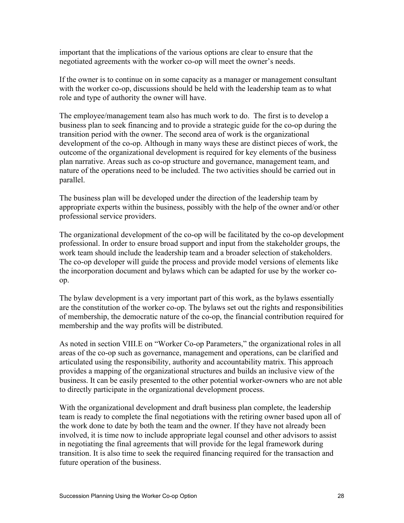important that the implications of the various options are clear to ensure that the negotiated agreements with the worker co-op will meet the owner's needs.

If the owner is to continue on in some capacity as a manager or management consultant with the worker co-op, discussions should be held with the leadership team as to what role and type of authority the owner will have.

The employee/management team also has much work to do. The first is to develop a business plan to seek financing and to provide a strategic guide for the co-op during the transition period with the owner. The second area of work is the organizational development of the co-op. Although in many ways these are distinct pieces of work, the outcome of the organizational development is required for key elements of the business plan narrative. Areas such as co-op structure and governance, management team, and nature of the operations need to be included. The two activities should be carried out in parallel.

The business plan will be developed under the direction of the leadership team by appropriate experts within the business, possibly with the help of the owner and/or other professional service providers.

The organizational development of the co-op will be facilitated by the co-op development professional. In order to ensure broad support and input from the stakeholder groups, the work team should include the leadership team and a broader selection of stakeholders. The co-op developer will guide the process and provide model versions of elements like the incorporation document and bylaws which can be adapted for use by the worker coop.

The bylaw development is a very important part of this work, as the bylaws essentially are the constitution of the worker co-op. The bylaws set out the rights and responsibilities of membership, the democratic nature of the co-op, the financial contribution required for membership and the way profits will be distributed.

As noted in section VIII.E on "Worker Co-op Parameters," the organizational roles in all areas of the co-op such as governance, management and operations, can be clarified and articulated using the responsibility, authority and accountability matrix. This approach provides a mapping of the organizational structures and builds an inclusive view of the business. It can be easily presented to the other potential worker-owners who are not able to directly participate in the organizational development process.

With the organizational development and draft business plan complete, the leadership team is ready to complete the final negotiations with the retiring owner based upon all of the work done to date by both the team and the owner. If they have not already been involved, it is time now to include appropriate legal counsel and other advisors to assist in negotiating the final agreements that will provide for the legal framework during transition. It is also time to seek the required financing required for the transaction and future operation of the business.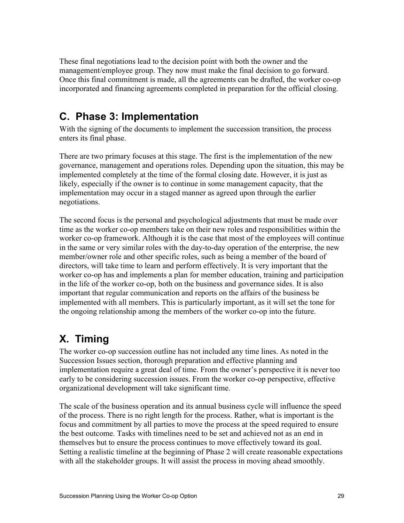These final negotiations lead to the decision point with both the owner and the management/employee group. They now must make the final decision to go forward. Once this final commitment is made, all the agreements can be drafted, the worker co-op incorporated and financing agreements completed in preparation for the official closing.

# **C. Phase 3: Implementation**

With the signing of the documents to implement the succession transition, the process enters its final phase.

There are two primary focuses at this stage. The first is the implementation of the new governance, management and operations roles. Depending upon the situation, this may be implemented completely at the time of the formal closing date. However, it is just as likely, especially if the owner is to continue in some management capacity, that the implementation may occur in a staged manner as agreed upon through the earlier negotiations.

The second focus is the personal and psychological adjustments that must be made over time as the worker co-op members take on their new roles and responsibilities within the worker co-op framework. Although it is the case that most of the employees will continue in the same or very similar roles with the day-to-day operation of the enterprise, the new member/owner role and other specific roles, such as being a member of the board of directors, will take time to learn and perform effectively. It is very important that the worker co-op has and implements a plan for member education, training and participation in the life of the worker co-op, both on the business and governance sides. It is also important that regular communication and reports on the affairs of the business be implemented with all members. This is particularly important, as it will set the tone for the ongoing relationship among the members of the worker co-op into the future.

# **X. Timing**

The worker co-op succession outline has not included any time lines. As noted in the Succession Issues section, thorough preparation and effective planning and implementation require a great deal of time. From the owner's perspective it is never too early to be considering succession issues. From the worker co-op perspective, effective organizational development will take significant time.

The scale of the business operation and its annual business cycle will influence the speed of the process. There is no right length for the process. Rather, what is important is the focus and commitment by all parties to move the process at the speed required to ensure the best outcome. Tasks with timelines need to be set and achieved not as an end in themselves but to ensure the process continues to move effectively toward its goal. Setting a realistic timeline at the beginning of Phase 2 will create reasonable expectations with all the stakeholder groups. It will assist the process in moving ahead smoothly.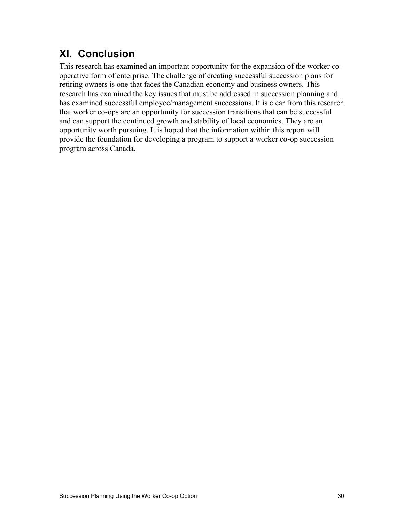# **XI. Conclusion**

This research has examined an important opportunity for the expansion of the worker cooperative form of enterprise. The challenge of creating successful succession plans for retiring owners is one that faces the Canadian economy and business owners. This research has examined the key issues that must be addressed in succession planning and has examined successful employee/management successions. It is clear from this research that worker co-ops are an opportunity for succession transitions that can be successful and can support the continued growth and stability of local economies. They are an opportunity worth pursuing. It is hoped that the information within this report will provide the foundation for developing a program to support a worker co-op succession program across Canada.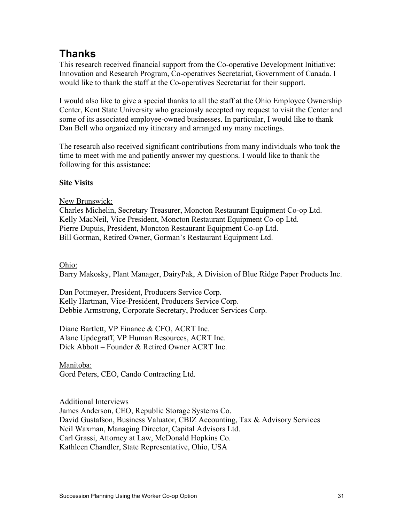# **Thanks**

This research received financial support from the Co-operative Development Initiative: Innovation and Research Program, Co-operatives Secretariat, Government of Canada. I would like to thank the staff at the Co-operatives Secretariat for their support.

I would also like to give a special thanks to all the staff at the Ohio Employee Ownership Center, Kent State University who graciously accepted my request to visit the Center and some of its associated employee-owned businesses. In particular, I would like to thank Dan Bell who organized my itinerary and arranged my many meetings.

The research also received significant contributions from many individuals who took the time to meet with me and patiently answer my questions. I would like to thank the following for this assistance:

#### Site Visits

#### New Brunswick:

Charles Michelin, Secretary Treasurer, Moncton Restaurant Equipment Co-op Ltd. Kelly MacNeil, Vice President, Moncton Restaurant Equipment Co-op Ltd. Pierre Dupuis, President, Moncton Restaurant Equipment Co-op Ltd. Bill Gorman, Retired Owner, Gorman's Restaurant Equipment Ltd.

#### Ohio:

Barry Makosky, Plant Manager, DairyPak, A Division of Blue Ridge Paper Products Inc.

Dan Pottmeyer, President, Producers Service Corp. Kelly Hartman, Vice-President, Producers Service Corp. Debbie Armstrong, Corporate Secretary, Producer Services Corp.

Diane Bartlett, VP Finance & CFO, ACRT Inc. Alane Updegraff, VP Human Resources, ACRT Inc. Dick Abbott – Founder & Retired Owner ACRT Inc.

Manitoba:

Gord Peters, CEO, Cando Contracting Ltd.

Additional Interviews

James Anderson, CEO, Republic Storage Systems Co. David Gustafson, Business Valuator, CBIZ Accounting, Tax & Advisory Services Neil Waxman, Managing Director, Capital Advisors Ltd. Carl Grassi, Attorney at Law, McDonald Hopkins Co. Kathleen Chandler, State Representative, Ohio, USA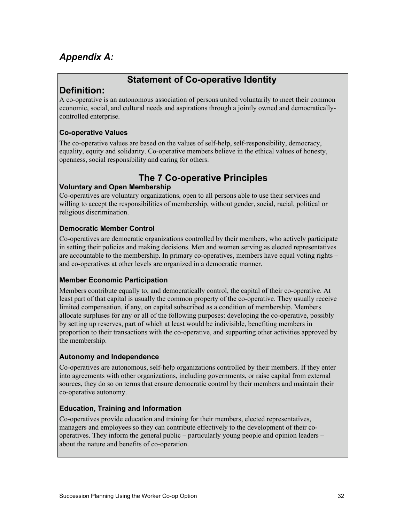# *Appendix A:*

# **Statement of Co-operative Identity**

# **Definition:**

A co-operative is an autonomous association of persons united voluntarily to meet their common economic, social, and cultural needs and aspirations through a jointly owned and democraticallycontrolled enterprise.

#### **Co-operative Values**

The co-operative values are based on the values of self-help, self-responsibility, democracy, equality, equity and solidarity. Co-operative members believe in the ethical values of honesty, openness, social responsibility and caring for others.

# **The 7 Co-operative Principles**

#### **Voluntary and Open Membership**

Co-operatives are voluntary organizations, open to all persons able to use their services and willing to accept the responsibilities of membership, without gender, social, racial, political or religious discrimination.

#### **Democratic Member Control**

Co-operatives are democratic organizations controlled by their members, who actively participate in setting their policies and making decisions. Men and women serving as elected representatives are accountable to the membership. In primary co-operatives, members have equal voting rights – and co-operatives at other levels are organized in a democratic manner.

#### **Member Economic Participation**

Members contribute equally to, and democratically control, the capital of their co-operative. At least part of that capital is usually the common property of the co-operative. They usually receive limited compensation, if any, on capital subscribed as a condition of membership. Members allocate surpluses for any or all of the following purposes: developing the co-operative, possibly by setting up reserves, part of which at least would be indivisible, benefiting members in proportion to their transactions with the co-operative, and supporting other activities approved by the membership.

#### **Autonomy and Independence**

Co-operatives are autonomous, self-help organizations controlled by their members. If they enter into agreements with other organizations, including governments, or raise capital from external sources, they do so on terms that ensure democratic control by their members and maintain their co-operative autonomy.

#### **Education, Training and Information**

Co-operatives provide education and training for their members, elected representatives, managers and employees so they can contribute effectively to the development of their cooperatives. They inform the general public – particularly young people and opinion leaders – about the nature and benefits of co-operation.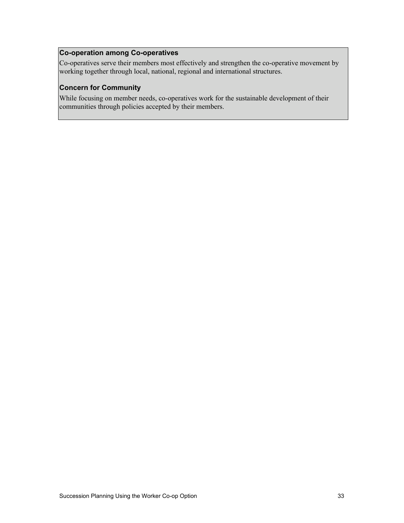### **Co-operation among Co-operatives**

Co-operatives serve their members most effectively and strengthen the co-operative movement by working together through local, national, regional and international structures.

#### **Concern for Community**

While focusing on member needs, co-operatives work for the sustainable development of their communities through policies accepted by their members.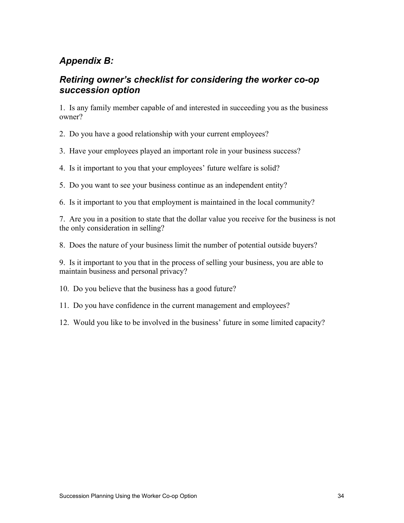# *Appendix B:*

### *Retiring owner's checklist for considering the worker co-op succession option*

1. Is any family member capable of and interested in succeeding you as the business owner?

2. Do you have a good relationship with your current employees?

- 3. Have your employees played an important role in your business success?
- 4. Is it important to you that your employees' future welfare is solid?
- 5. Do you want to see your business continue as an independent entity?
- 6. Is it important to you that employment is maintained in the local community?

7. Are you in a position to state that the dollar value you receive for the business is not the only consideration in selling?

8. Does the nature of your business limit the number of potential outside buyers?

9. Is it important to you that in the process of selling your business, you are able to maintain business and personal privacy?

- 10. Do you believe that the business has a good future?
- 11. Do you have confidence in the current management and employees?
- 12. Would you like to be involved in the business' future in some limited capacity?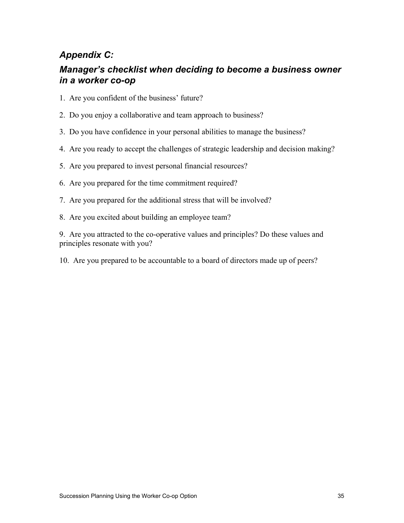# *Appendix C:*

### *Manager's checklist when deciding to become a business owner in a worker co-op*

- 1. Are you confident of the business' future?
- 2. Do you enjoy a collaborative and team approach to business?
- 3. Do you have confidence in your personal abilities to manage the business?
- 4. Are you ready to accept the challenges of strategic leadership and decision making?
- 5. Are you prepared to invest personal financial resources?
- 6. Are you prepared for the time commitment required?
- 7. Are you prepared for the additional stress that will be involved?
- 8. Are you excited about building an employee team?

9. Are you attracted to the co-operative values and principles? Do these values and principles resonate with you?

10. Are you prepared to be accountable to a board of directors made up of peers?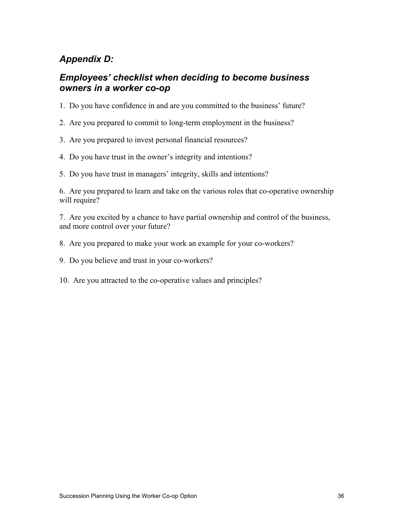# *Appendix D:*

### *Employees' checklist when deciding to become business owners in a worker co-op*

1. Do you have confidence in and are you committed to the business' future?

- 2. Are you prepared to commit to long-term employment in the business?
- 3. Are you prepared to invest personal financial resources?
- 4. Do you have trust in the owner's integrity and intentions?
- 5. Do you have trust in managers' integrity, skills and intentions?

6. Are you prepared to learn and take on the various roles that co-operative ownership will require?

7. Are you excited by a chance to have partial ownership and control of the business, and more control over your future?

- 8. Are you prepared to make your work an example for your co-workers?
- 9. Do you believe and trust in your co-workers?
- 10. Are you attracted to the co-operative values and principles?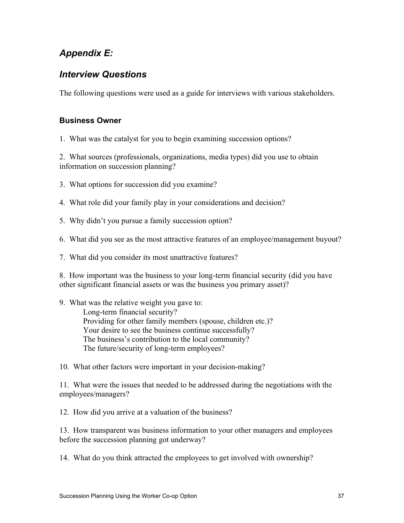# *Appendix E:*

# *Interview Questions*

The following questions were used as a guide for interviews with various stakeholders.

#### **Business Owner**

1. What was the catalyst for you to begin examining succession options?

2. What sources (professionals, organizations, media types) did you use to obtain information on succession planning?

- 3. What options for succession did you examine?
- 4. What role did your family play in your considerations and decision?
- 5. Why didn't you pursue a family succession option?
- 6. What did you see as the most attractive features of an employee/management buyout?
- 7. What did you consider its most unattractive features?

8. How important was the business to your long-term financial security (did you have other significant financial assets or was the business you primary asset)?

9. What was the relative weight you gave to: Long-term financial security? Providing for other family members (spouse, children etc.)? Your desire to see the business continue successfully? The business's contribution to the local community? The future/security of long-term employees?

10. What other factors were important in your decision-making?

11. What were the issues that needed to be addressed during the negotiations with the employees/managers?

12. How did you arrive at a valuation of the business?

13. How transparent was business information to your other managers and employees before the succession planning got underway?

14. What do you think attracted the employees to get involved with ownership?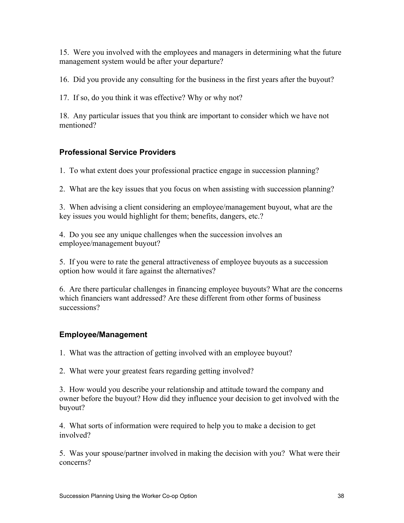15. Were you involved with the employees and managers in determining what the future management system would be after your departure?

16. Did you provide any consulting for the business in the first years after the buyout?

17. If so, do you think it was effective? Why or why not?

18. Any particular issues that you think are important to consider which we have not mentioned?

### **Professional Service Providers**

1. To what extent does your professional practice engage in succession planning?

2. What are the key issues that you focus on when assisting with succession planning?

3. When advising a client considering an employee/management buyout, what are the key issues you would highlight for them; benefits, dangers, etc.?

4. Do you see any unique challenges when the succession involves an employee/management buyout?

5. If you were to rate the general attractiveness of employee buyouts as a succession option how would it fare against the alternatives?

6. Are there particular challenges in financing employee buyouts? What are the concerns which financiers want addressed? Are these different from other forms of business successions?

### **Employee/Management**

1. What was the attraction of getting involved with an employee buyout?

2. What were your greatest fears regarding getting involved?

3. How would you describe your relationship and attitude toward the company and owner before the buyout? How did they influence your decision to get involved with the buyout?

4. What sorts of information were required to help you to make a decision to get involved?

5. Was your spouse/partner involved in making the decision with you? What were their concerns?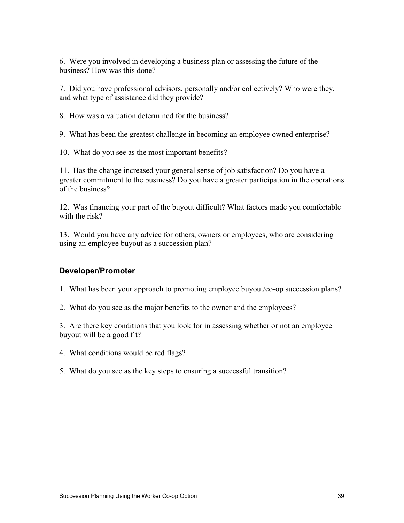6. Were you involved in developing a business plan or assessing the future of the business? How was this done?

7. Did you have professional advisors, personally and/or collectively? Who were they, and what type of assistance did they provide?

8. How was a valuation determined for the business?

9. What has been the greatest challenge in becoming an employee owned enterprise?

10. What do you see as the most important benefits?

11. Has the change increased your general sense of job satisfaction? Do you have a greater commitment to the business? Do you have a greater participation in the operations of the business?

12. Was financing your part of the buyout difficult? What factors made you comfortable with the risk?

13. Would you have any advice for others, owners or employees, who are considering using an employee buyout as a succession plan?

#### **Developer/Promoter**

1. What has been your approach to promoting employee buyout/co-op succession plans?

2. What do you see as the major benefits to the owner and the employees?

3. Are there key conditions that you look for in assessing whether or not an employee buyout will be a good fit?

4. What conditions would be red flags?

5. What do you see as the key steps to ensuring a successful transition?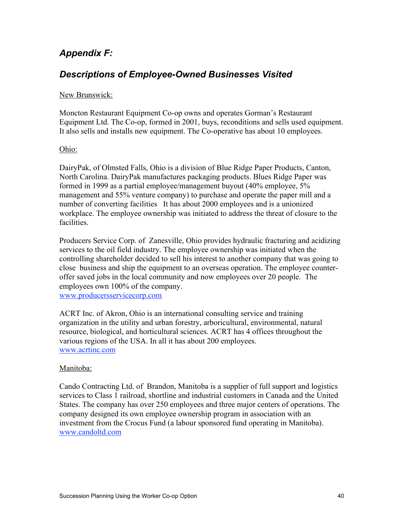# *Appendix F:*

# *Descriptions of Employee-Owned Businesses Visited*

#### New Brunswick:

Moncton Restaurant Equipment Co-op owns and operates Gorman's Restaurant Equipment Ltd. The Co-op, formed in 2001, buys, reconditions and sells used equipment. It also sells and installs new equipment. The Co-operative has about 10 employees.

#### Ohio:

DairyPak, of Olmsted Falls, Ohio is a division of Blue Ridge Paper Products, Canton, North Carolina. DairyPak manufactures packaging products. Blues Ridge Paper was formed in 1999 as a partial employee/management buyout (40% employee, 5% management and 55% venture company) to purchase and operate the paper mill and a number of converting facilities It has about 2000 employees and is a unionized workplace. The employee ownership was initiated to address the threat of closure to the facilities.

Producers Service Corp. of Zanesville, Ohio provides hydraulic fracturing and acidizing services to the oil field industry. The employee ownership was initiated when the controlling shareholder decided to sell his interest to another company that was going to close business and ship the equipment to an overseas operation. The employee counteroffer saved jobs in the local community and now employees over 20 people. The employees own 100% of the company. www.producersservicecorp.com

ACRT Inc. of Akron, Ohio is an international consulting service and training organization in the utility and urban forestry, arboricultural, environmental, natural resource, biological, and horticultural sciences. ACRT has 4 offices throughout the various regions of the USA. In all it has about 200 employees. www.acrtinc.com

#### Manitoba:

Cando Contracting Ltd. of Brandon, Manitoba is a supplier of full support and logistics services to Class 1 railroad, shortline and industrial customers in Canada and the United States. The company has over 250 employees and three major centers of operations. The company designed its own employee ownership program in association with an investment from the Crocus Fund (a labour sponsored fund operating in Manitoba). www.candoltd.com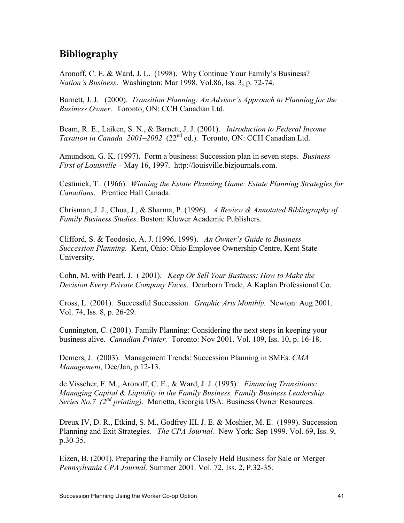# Bibliography

Aronoff, C. E. & Ward, J. L. (1998). Why Continue Your Family's Business? *Nation's Business*. Washington: Mar 1998. Vol.86, Iss. 3, p. 72-74.

Barnett, J. J. (2000). *Transition Planning: An Advisor's Approach to Planning for the Business Owner.* Toronto, ON: CCH Canadian Ltd.

Beam, R. E., Laiken, S. N., & Barnett, J. J. (2001). *Introduction to Federal Income Taxation in Canada 2001–2002* (22nd ed.). Toronto, ON: CCH Canadian Ltd.

Amundson, G. K. (1997). Form a business: Succession plan in seven steps. *Business First of Louisville* – May 16, 1997. http://louisville.bizjournals.com.

Cestinick, T. (1966). *Winning the Estate Planning Game: Estate Planning Strategies for Canadians*. Prentice Hall Canada.

Chrisman, J. J., Chua, J., & Sharma, P. (1996). *A Review & Annotated Bibliography of Family Business Studies*. Boston: Kluwer Academic Publishers.

Clifford, S. & Teodosio, A. J. (1996, 1999). *An Owner's Guide to Business Succession Planning.* Kent, Ohio: Ohio Employee Ownership Centre, Kent State University.

Cohn, M. with Pearl, J. ( 2001). *Keep Or Sell Your Business: How to Make the Decision Every Private Company Faces*. Dearborn Trade, A Kaplan Professional Co.

Cross, L. (2001). Successful Succession. *Graphic Arts Monthly.* Newton: Aug 2001. Vol. 74, Iss. 8, p. 26-29.

Cunnington, C. (2001). Family Planning: Considering the next steps in keeping your business alive. *Canadian Printer.* Toronto: Nov 2001. Vol. 109, Iss. 10, p. 16-18.

Demers, J. (2003). Management Trends: Succession Planning in SMEs. *CMA Management,* Dec/Jan, p.12-13.

de Visscher, F. M., Aronoff, C. E., & Ward, J. J. (1995). *Financing Transitions: Managing Capital & Liquidity in the Family Business. Family Business Leadership Series No.7 (2nd printing).* Marietta, Georgia USA: Business Owner Resources.

Dreux IV, D. R., Etkind, S. M., Godfrey III, J. E. & Moshier, M. E. (1999). Succession Planning and Exit Strategies. *The CPA Journal.* New York: Sep 1999. Vol. 69, Iss. 9, p.30-35.

Eizen, B. (2001). Preparing the Family or Closely Held Business for Sale or Merger *Pennsylvania CPA Journal,* Summer 2001. Vol. 72, Iss. 2, P.32-35.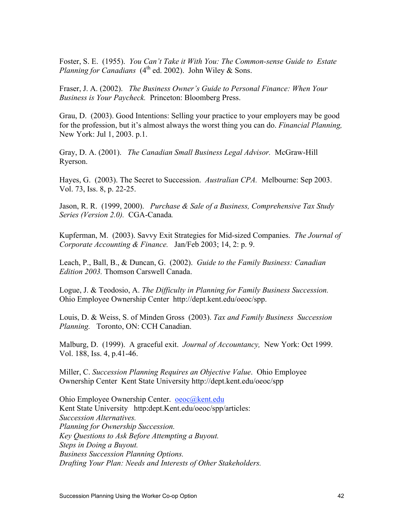Foster, S. E. (1955). *You Can't Take it With You: The Common-sense Guide to Estate Planning for Canadians*  $(4<sup>th</sup>$  ed. 2002). John Wiley & Sons.

Fraser, J. A. (2002). *The Business Owner's Guide to Personal Finance: When Your Business is Your Paycheck.* Princeton: Bloomberg Press.

Grau, D. (2003). Good Intentions: Selling your practice to your employers may be good for the profession, but it's almost always the worst thing you can do. *Financial Planning,* New York: Jul 1, 2003. p.1.

Gray, D. A. (2001). *The Canadian Small Business Legal Advisor.* McGraw-Hill Ryerson.

Hayes, G. (2003). The Secret to Succession. *Australian CPA.* Melbourne: Sep 2003. Vol. 73, Iss. 8, p. 22-25.

Jason, R. R. (1999, 2000). *Purchase & Sale of a Business, Comprehensive Tax Study Series (Version 2.0).* CGA-Canada*.*

Kupferman, M. (2003). Savvy Exit Strategies for Mid-sized Companies. *The Journal of Corporate Accounting & Finance.* Jan/Feb 2003; 14, 2: p. 9.

Leach, P., Ball, B., & Duncan, G. (2002). *Guide to the Family Business: Canadian Edition 2003.* Thomson Carswell Canada.

Logue, J. & Teodosio, A. *The Difficulty in Planning for Family Business Succession.* Ohio Employee Ownership Center http://dept.kent.edu/oeoc/spp.

Louis, D. & Weiss, S. of Minden Gross (2003). *Tax and Family Business Succession Planning.* Toronto, ON: CCH Canadian.

Malburg, D. (1999). A graceful exit. *Journal of Accountancy,* New York: Oct 1999. Vol. 188, Iss. 4, p.41-46.

Miller, C. *Succession Planning Requires an Objective Value*. Ohio Employee Ownership Center Kent State University http://dept.kent.edu/oeoc/spp

Ohio Employee Ownership Center. oeoc@kent.edu Kent State University http:dept.Kent.edu/oeoc/spp/articles: *Succession Alternatives. Planning for Ownership Succession. Key Questions to Ask Before Attempting a Buyout. Steps in Doing a Buyout. Business Succession Planning Options. Drafting Your Plan: Needs and Interests of Other Stakeholders.*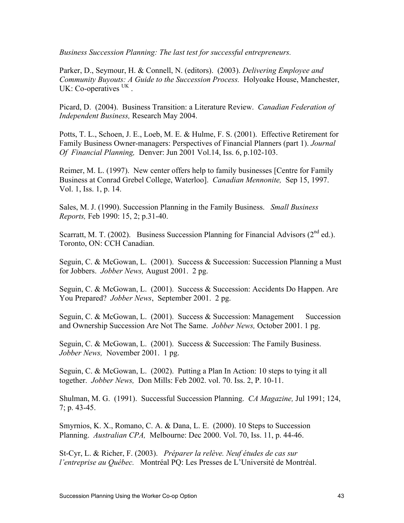*Business Succession Planning: The last test for successful entrepreneurs.*

Parker, D., Seymour, H. & Connell, N. (editors). (2003). *Delivering Employee and Community Buyouts: A Guide to the Succession Process.* Holyoake House, Manchester, UK: Co-operatives UK.

Picard, D. (2004). Business Transition: a Literature Review. *Canadian Federation of Independent Business,* Research May 2004.

Potts, T. L., Schoen, J. E., Loeb, M. E. & Hulme, F. S. (2001). Effective Retirement for Family Business Owner-managers: Perspectives of Financial Planners (part 1). *Journal Of Financial Planning,* Denver: Jun 2001 Vol.14, Iss. 6, p.102-103.

Reimer, M. L. (1997). New center offers help to family businesses [Centre for Family Business at Conrad Grebel College, Waterloo]. *Canadian Mennonite,* Sep 15, 1997. Vol. 1, Iss. 1, p. 14.

Sales, M. J. (1990). Succession Planning in the Family Business. *Small Business Reports,* Feb 1990: 15, 2; p.31-40.

Scarratt, M. T. (2002). Business Succession Planning for Financial Advisors ( $2<sup>nd</sup>$  ed.). Toronto, ON: CCH Canadian.

Seguin, C. & McGowan, L. (2001). Success & Succession: Succession Planning a Must for Jobbers. *Jobber News,* August 2001. 2 pg.

Seguin, C. & McGowan, L. (2001). Success & Succession: Accidents Do Happen. Are You Prepared? *Jobber News*, September 2001. 2 pg.

Seguin, C. & McGowan, L. (2001). Success & Succession: Management Succession and Ownership Succession Are Not The Same. *Jobber News,* October 2001. 1 pg.

Seguin, C. & McGowan, L. (2001). Success & Succession: The Family Business. *Jobber News,* November 2001. 1 pg.

Seguin, C. & McGowan, L. (2002). Putting a Plan In Action: 10 steps to tying it all together. *Jobber News,* Don Mills: Feb 2002. vol. 70. Iss. 2, P. 10-11.

Shulman, M. G. (1991). Successful Succession Planning. *CA Magazine,* Jul 1991; 124, 7; p. 43-45.

Smyrnios, K. X., Romano, C. A. & Dana, L. E. (2000). 10 Steps to Succession Planning. *Australian CPA,* Melbourne: Dec 2000. Vol. 70, Iss. 11, p. 44-46.

St-Cyr, L. & Richer, F. (2003). *Préparer la relève. Neuf études de cas sur l'entreprise au Québec.* Montréal PQ: Les Presses de L'Université de Montréal.